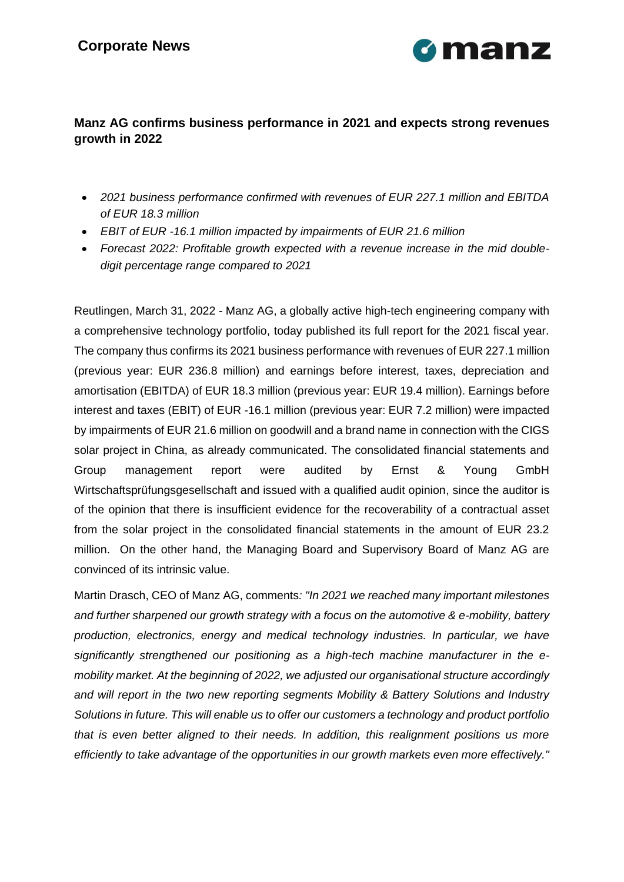

### **Manz AG confirms business performance in 2021 and expects strong revenues growth in 2022**

- *2021 business performance confirmed with revenues of EUR 227.1 million and EBITDA of EUR 18.3 million*
- *EBIT of EUR -16.1 million impacted by impairments of EUR 21.6 million*
- *Forecast 2022: Profitable growth expected with a revenue increase in the mid doubledigit percentage range compared to 2021*

Reutlingen, March 31, 2022 - Manz AG, a globally active high-tech engineering company with a comprehensive technology portfolio, today published its full report for the 2021 fiscal year. The company thus confirms its 2021 business performance with revenues of EUR 227.1 million (previous year: EUR 236.8 million) and earnings before interest, taxes, depreciation and amortisation (EBITDA) of EUR 18.3 million (previous year: EUR 19.4 million). Earnings before interest and taxes (EBIT) of EUR -16.1 million (previous year: EUR 7.2 million) were impacted by impairments of EUR 21.6 million on goodwill and a brand name in connection with the CIGS solar project in China, as already communicated. The consolidated financial statements and Group management report were audited by Ernst & Young GmbH Wirtschaftsprüfungsgesellschaft and issued with a qualified audit opinion, since the auditor is of the opinion that there is insufficient evidence for the recoverability of a contractual asset from the solar project in the consolidated financial statements in the amount of EUR 23.2 million. On the other hand, the Managing Board and Supervisory Board of Manz AG are convinced of its intrinsic value.

Martin Drasch, CEO of Manz AG, comments*: "In 2021 we reached many important milestones and further sharpened our growth strategy with a focus on the automotive & e-mobility, battery production, electronics, energy and medical technology industries. In particular, we have significantly strengthened our positioning as a high-tech machine manufacturer in the emobility market. At the beginning of 2022, we adjusted our organisational structure accordingly and will report in the two new reporting segments Mobility & Battery Solutions and Industry Solutions in future. This will enable us to offer our customers a technology and product portfolio that is even better aligned to their needs. In addition, this realignment positions us more efficiently to take advantage of the opportunities in our growth markets even more effectively."*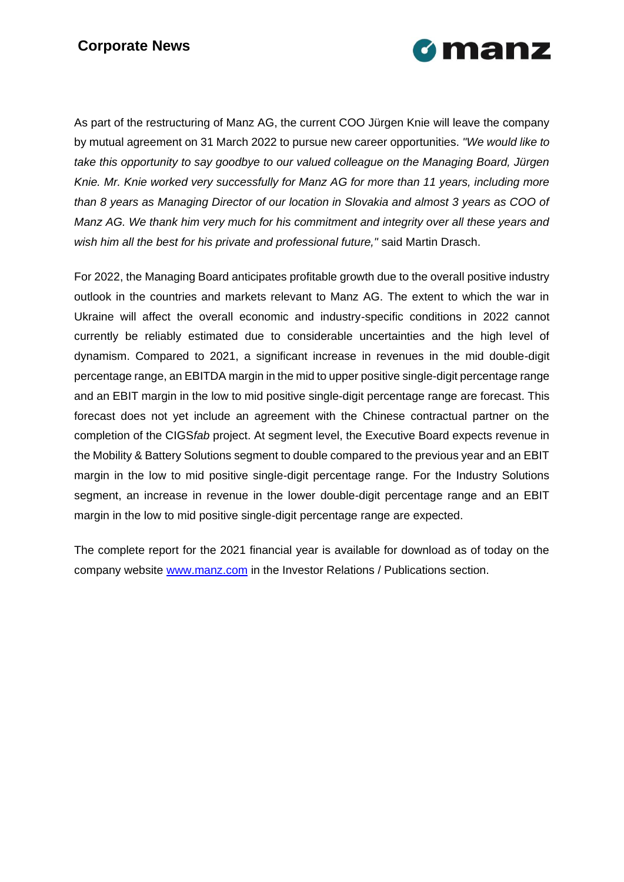## **Corporate News**



As part of the restructuring of Manz AG, the current COO Jürgen Knie will leave the company by mutual agreement on 31 March 2022 to pursue new career opportunities. *"We would like to take this opportunity to say goodbye to our valued colleague on the Managing Board, Jürgen Knie. Mr. Knie worked very successfully for Manz AG for more than 11 years, including more than 8 years as Managing Director of our location in Slovakia and almost 3 years as COO of Manz AG. We thank him very much for his commitment and integrity over all these years and wish him all the best for his private and professional future,"* said Martin Drasch.

For 2022, the Managing Board anticipates profitable growth due to the overall positive industry outlook in the countries and markets relevant to Manz AG. The extent to which the war in Ukraine will affect the overall economic and industry-specific conditions in 2022 cannot currently be reliably estimated due to considerable uncertainties and the high level of dynamism. Compared to 2021, a significant increase in revenues in the mid double-digit percentage range, an EBITDA margin in the mid to upper positive single-digit percentage range and an EBIT margin in the low to mid positive single-digit percentage range are forecast. This forecast does not yet include an agreement with the Chinese contractual partner on the completion of the CIGS*fab* project. At segment level, the Executive Board expects revenue in the Mobility & Battery Solutions segment to double compared to the previous year and an EBIT margin in the low to mid positive single-digit percentage range. For the Industry Solutions segment, an increase in revenue in the lower double-digit percentage range and an EBIT margin in the low to mid positive single-digit percentage range are expected.

The complete report for the 2021 financial year is available for download as of today on the company website [www.manz.com](http://www.manz.com/) in the Investor Relations / Publications section.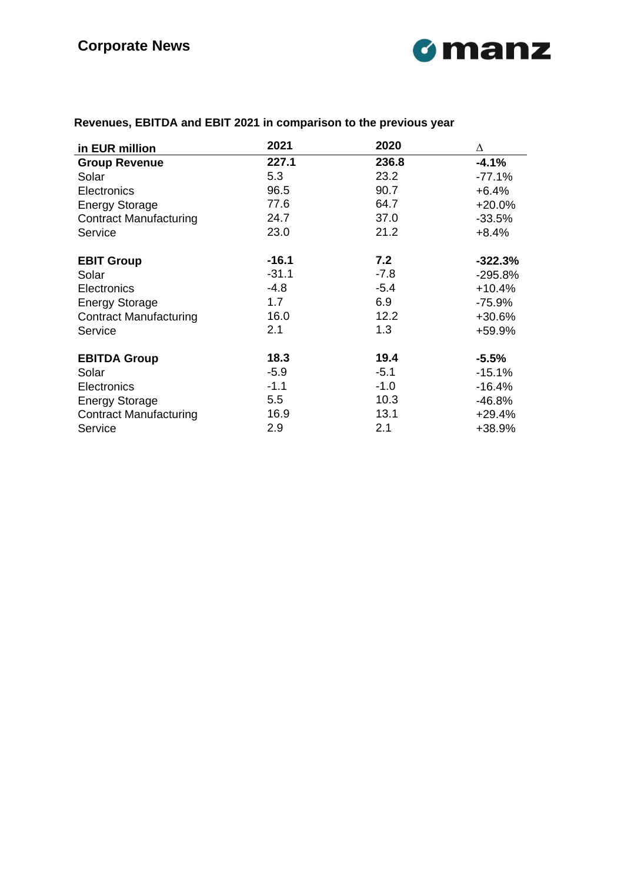

| in EUR million                | 2021    | 2020   | Δ          |
|-------------------------------|---------|--------|------------|
| <b>Group Revenue</b>          | 227.1   | 236.8  | $-4.1%$    |
| Solar                         | 5.3     | 23.2   | $-77.1%$   |
| <b>Electronics</b>            | 96.5    | 90.7   | $+6.4%$    |
| <b>Energy Storage</b>         | 77.6    | 64.7   | $+20.0%$   |
| <b>Contract Manufacturing</b> | 24.7    | 37.0   | $-33.5%$   |
| Service                       | 23.0    | 21.2   | $+8.4%$    |
| <b>EBIT Group</b>             | $-16.1$ | 7.2    | $-322.3\%$ |
| Solar                         | $-31.1$ | $-7.8$ | $-295.8%$  |
| <b>Electronics</b>            | $-4.8$  | $-5.4$ | $+10.4%$   |
| <b>Energy Storage</b>         | 1.7     | 6.9    | $-75.9%$   |
| <b>Contract Manufacturing</b> | 16.0    | 12.2   | +30.6%     |
| Service                       | 2.1     | 1.3    | +59.9%     |
| <b>EBITDA Group</b>           | 18.3    | 19.4   | $-5.5%$    |
| Solar                         | $-5.9$  | $-5.1$ | $-15.1%$   |
| <b>Electronics</b>            | $-1.1$  | $-1.0$ | $-16.4%$   |
| <b>Energy Storage</b>         | 5.5     | 10.3   | -46.8%     |
| <b>Contract Manufacturing</b> | 16.9    | 13.1   | $+29.4%$   |
| Service                       | 2.9     | 2.1    | +38.9%     |

# **Revenues, EBITDA and EBIT 2021 in comparison to the previous year**